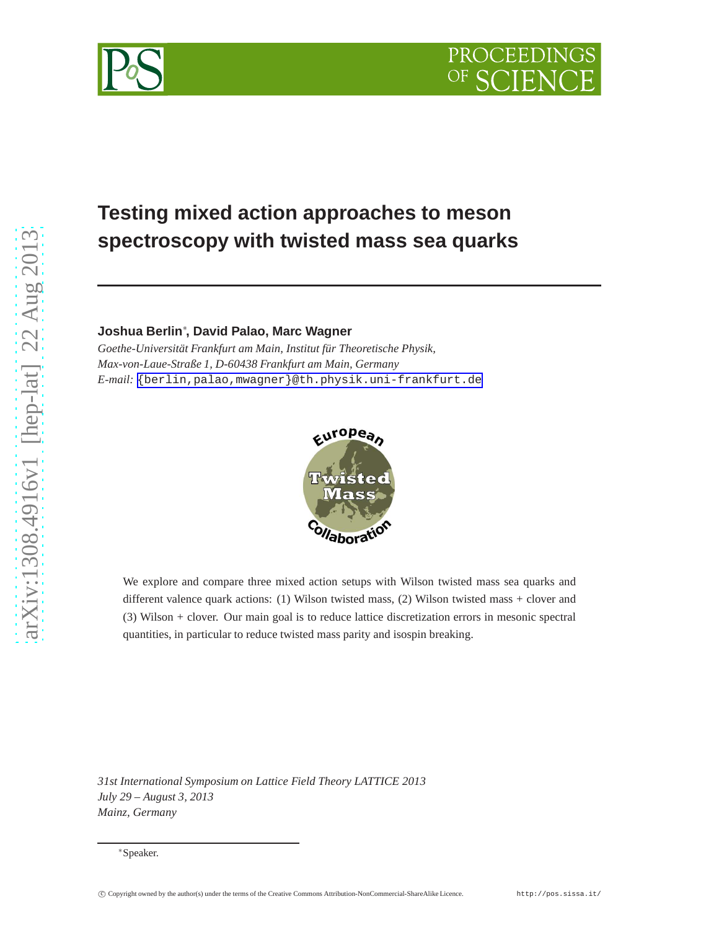



# **Testing mixed action approaches to meson spectroscopy with twisted mass sea quarks**

**Joshua Berlin**<sup>∗</sup> **, David Palao, Marc Wagner**

*Goethe-Universität Frankfurt am Main, Institut für Theoretische Physik, Max-von-Laue-Straße 1, D-60438 Frankfurt am Main, Germany E-mail:* [{berlin,palao,mwagner}@th.physik.uni-frankfurt.de](mailto:protect T1	extbraceleft berlin,palao,mwagnerprotect T1	extbraceright @th.physik.uni-frankfurt.de)



We explore and compare three mixed action setups with Wilson twisted mass sea quarks and different valence quark actions: (1) Wilson twisted mass, (2) Wilson twisted mass + clover and (3) Wilson + clover. Our main goal is to reduce lattice discretization errors in mesonic spectral quantities, in particular to reduce twisted mass parity and isospin breaking.

*31st International Symposium on Lattice Field Theory LATTICE 2013 July 29 – August 3, 2013 Mainz, Germany*

<sup>∗</sup>Speaker.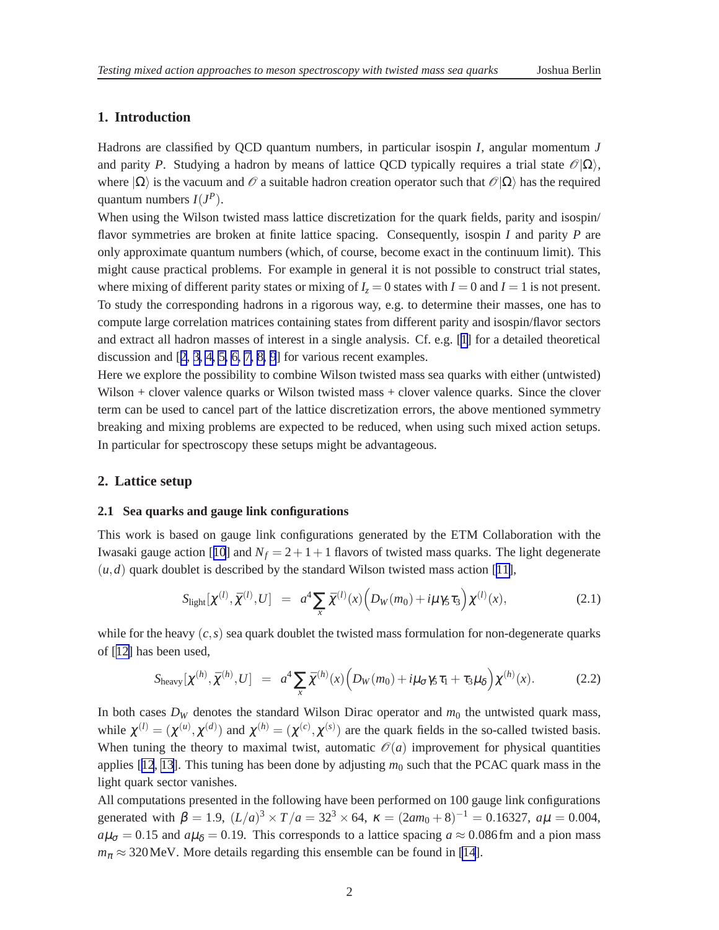# <span id="page-1-0"></span>**1. Introduction**

Hadrons are classified by QCD quantum numbers, in particular isospin *I*, angular momentum *J* and parity *P*. Studying a hadron by means of lattice QCD typically requires a trial state  $\mathcal{O}(\Omega)$ , where  $|\Omega\rangle$  is the vacuum and  $\mathcal O$  a suitable hadron creation operator such that  $\mathcal O|\Omega\rangle$  has the required quantum numbers  $I(J^P)$ .

When using the Wilson twisted mass lattice discretization for the quark fields, parity and isospin/ flavor symmetries are broken at finite lattice spacing. Consequently, isospin *I* and parity *P* are only approximate quantum numbers (which, of course, become exact in the continuum limit). This might cause practical problems. For example in general it is not possible to construct trial states, where mixing of different parity states or mixing of  $I_z = 0$  states with  $I = 0$  and  $I = 1$  is not present. To study the corresponding hadrons in a rigorous way, e.g. to determine their masses, one has to compute large correlation matrices containing states from different parity and isospin/flavor sectors and extract all hadron masses of interest in a single analysis. Cf. e.g. [[1](#page-6-0)] for a detailed theoretical discussion and [[2](#page-6-0), [3](#page-6-0), [4, 5, 6, 7, 8, 9](#page-6-0)] for various recent examples.

Here we explore the possibility to combine Wilson twisted mass sea quarks with either (untwisted) Wilson + clover valence quarks or Wilson twisted mass + clover valence quarks. Since the clover term can be used to cancel part of the lattice discretization errors, the above mentioned symmetry breaking and mixing problems are expected to be reduced, when using such mixed action setups. In particular for spectroscopy these setups might be advantageous.

### **2. Lattice setup**

#### **2.1 Sea quarks and gauge link configurations**

This work is based on gauge link configurations generated by the ETM Collaboration with the Iwasaki gauge action [[10](#page-6-0)] and  $N_f = 2 + 1 + 1$  flavors of twisted mass quarks. The light degenerate  $(u,d)$  quark doublet is described by the standard Wilson twisted mass action [[11\]](#page-6-0),

$$
S_{\text{light}}[\chi^{(l)}, \bar{\chi}^{(l)}, U] = a^4 \sum_{x} \bar{\chi}^{(l)}(x) \Big( D_W(m_0) + i\mu \gamma_5 \tau_3 \Big) \chi^{(l)}(x), \tag{2.1}
$$

while for the heavy  $(c, s)$  sea quark doublet the twisted mass formulation for non-degenerate quarks of [[12\]](#page-6-0) has been used,

$$
S_{\text{heavy}}[\chi^{(h)}, \bar{\chi}^{(h)}, U] = a^4 \sum_x \bar{\chi}^{(h)}(x) \Big( D_W(m_0) + i\mu_\sigma \gamma_5 \tau_1 + \tau_3 \mu_\delta \Big) \chi^{(h)}(x). \tag{2.2}
$$

In both cases  $D_W$  denotes the standard Wilson Dirac operator and  $m_0$  the untwisted quark mass, while  $\chi^{(l)} = (\chi^{(u)}, \chi^{(d)})$  and  $\chi^{(h)} = (\chi^{(c)}, \chi^{(s)})$  are the quark fields in the so-called twisted basis. When tuning the theory to maximal twist, automatic  $\mathcal{O}(a)$  improvement for physical quantities applies  $[12, 13]$  $[12, 13]$  $[12, 13]$  $[12, 13]$ . This tuning has been done by adjusting  $m_0$  such that the PCAC quark mass in the light quark sector vanishes.

All computations presented in the following have been performed on 100 gauge link configurations generated with  $\beta = 1.9$ ,  $(L/a)^3 \times T/a = 32^3 \times 64$ ,  $\kappa = (2am_0 + 8)^{-1} = 0.16327$ ,  $a\mu = 0.004$ ,  $a\mu_{\sigma} = 0.15$  and  $a\mu_{\delta} = 0.19$ . This corresponds to a lattice spacing  $a \approx 0.086$  fm and a pion mass  $m_{\pi} \approx 320$  MeV. More details regarding this ensemble can be found in [\[14](#page-6-0)].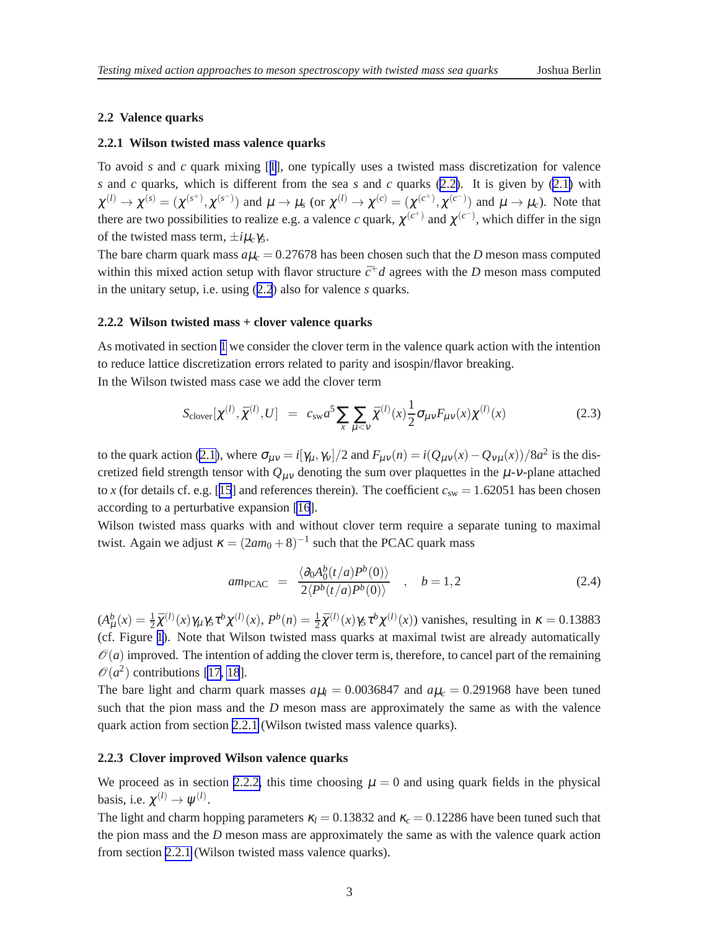#### <span id="page-2-0"></span>**2.2 Valence quarks**

#### **2.2.1 Wilson twisted mass valence quarks**

To avoid *s* and *c* quark mixing [[1](#page-6-0)], one typically uses a twisted mass discretization for valence *s* and *c* quarks, which is different from the sea *s* and *c* quarks [\(2.2\)](#page-1-0). It is given by [\(2.1\)](#page-1-0) with  $\chi^{(l)} \to \chi^{(s)} = (\chi^{(s^+)}, \chi^{(s^-)})$  and  $\mu \to \mu_s$  (or  $\chi^{(l)} \to \chi^{(c)} = (\chi^{(c^+)}, \chi^{(c^-)})$  and  $\mu \to \mu_c$ ). Note that there are two possibilities to realize e.g. a valence *c* quark,  $\chi^{(c^+)}$  and  $\chi^{(c^-)}$ , which differ in the sign of the twisted mass term,  $\pm i\mu_c\gamma_5$ .

The bare charm quark mass  $a\mu_c = 0.27678$  has been chosen such that the *D* meson mass computed within this mixed action setup with flavor structure  $\bar{c}^+d$  agrees with the *D* meson mass computed in the unitary setup, i.e. using ([2.2](#page-1-0)) also for valence *s* quarks.

#### **2.2.2 Wilson twisted mass + clover valence quarks**

As motivated in section [1](#page-1-0) we consider the clover term in the valence quark action with the intention to reduce lattice discretization errors related to parity and isospin/flavor breaking. In the Wilson twisted mass case we add the clover term

$$
S_{\text{clover}}[\chi^{(l)}, \bar{\chi}^{(l)}, U] = c_{\text{sw}} a^5 \sum_{x} \sum_{\mu < \nu} \bar{\chi}^{(l)}(x) \frac{1}{2} \sigma_{\mu\nu} F_{\mu\nu}(x) \chi^{(l)}(x) \tag{2.3}
$$

to the quark action [\(2.1\)](#page-1-0), where  $\sigma_{\mu\nu} = i[\gamma_{\mu}, \gamma_{\nu}]/2$  and  $F_{\mu\nu}(n) = i(Q_{\mu\nu}(x) - Q_{\nu\mu}(x))/8a^2$  is the discretized field strength tensor with  $Q_{\mu\nu}$  denoting the sum over plaquettes in the  $\mu$ -v-plane attached to *x* (for details cf. e.g. [[15](#page-6-0)] and references therein). The coefficient  $c_{sw} = 1.62051$  has been chosen according to a perturbative expansion [\[16](#page-6-0)].

Wilson twisted mass quarks with and without clover term require a separate tuning to maximal twist. Again we adjust  $\kappa = (2am_0 + 8)^{-1}$  such that the PCAC quark mass

$$
am_{\text{PCAC}} = \frac{\langle \partial_0 A_0^b(t/a) P^b(0) \rangle}{2 \langle P^b(t/a) P^b(0) \rangle} , \quad b = 1, 2
$$
 (2.4)

 $(A^b_\mu(x) = \frac{1}{2}\bar{\chi}^{(l)}(x)\gamma_\mu\gamma_5\tau^b\chi^{(l)}(x), P^b(n) = \frac{1}{2}\bar{\chi}^{(l)}(x)\gamma_5\tau^b\chi^{(l)}(x)$  vanishes, resulting in  $\kappa = 0.13883$ (cf. Figure [1\)](#page-3-0). Note that Wilson twisted mass quarks at maximal twist are already automatically  $\mathcal{O}(a)$  improved. The intention of adding the clover term is, therefore, to cancel part of the remaining  $\mathcal{O}(a^2)$  contributions [\[17](#page-6-0), [18](#page-6-0)].

The bare light and charm quark masses  $a\mu_l = 0.0036847$  and  $a\mu_c = 0.291968$  have been tuned such that the pion mass and the *D* meson mass are approximately the same as with the valence quark action from section 2.2.1 (Wilson twisted mass valence quarks).

#### **2.2.3 Clover improved Wilson valence quarks**

We proceed as in section 2.2.2, this time choosing  $\mu = 0$  and using quark fields in the physical basis, i.e.  $\chi^{(l)} \to \psi^{(l)}$ .

The light and charm hopping parameters  $\kappa_l = 0.13832$  and  $\kappa_c = 0.12286$  have been tuned such that the pion mass and the *D* meson mass are approximately the same as with the valence quark action from section 2.2.1 (Wilson twisted mass valence quarks).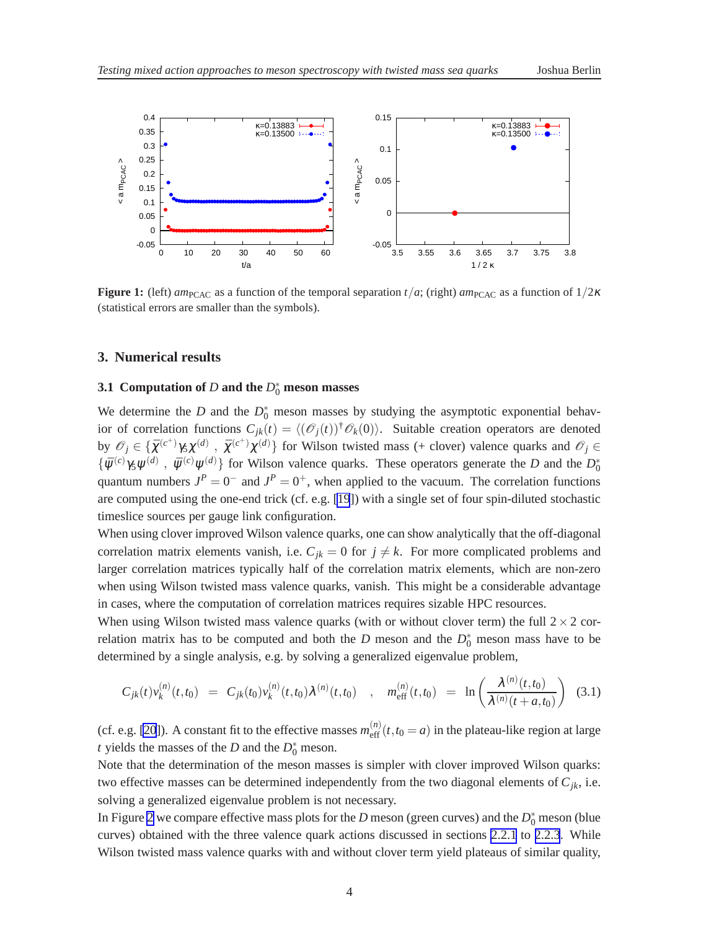<span id="page-3-0"></span>

**Figure 1:** (left) *am*<sub>PCAC</sub> as a function of the temporal separation *t*/*a*; (right) *am*<sub>PCAC</sub> as a function of  $1/2\kappa$ (statistical errors are smaller than the symbols).

#### **3. Numerical results**

# **3.1** Computation of  $D$  and the  $D_0^*$  meson masses

We determine the *D* and the  $D_0^*$  meson masses by studying the asymptotic exponential behavior of correlation functions  $C_{jk}(t) = \langle (\mathcal{O}_j(t))^{\dagger} \mathcal{O}_k(0) \rangle$ . Suitable creation operators are denoted by  $\mathcal{O}_j \in \{\bar{\chi}^{(c^+)}\gamma_5\chi^{(d)}\}, \bar{\chi}^{(c^+)}\chi^{(d)}\}\$  for Wilson twisted mass (+ clover) valence quarks and  $\mathcal{O}_j \in$  $\{\bar{\psi}^{(c)}\gamma_5\psi^{(d)}, \bar{\psi}^{(c)}\psi^{(d)}\}$  for Wilson valence quarks. These operators generate the *D* and the  $D_0^*$ quantum numbers  $J^P = 0^-$  and  $J^P = 0^+$ , when applied to the vacuum. The correlation functions are computed using the one-end trick (cf. e.g. [\[19](#page-6-0)]) with a single set of four spin-diluted stochastic timeslice sources per gauge link configuration.

When using clover improved Wilson valence quarks, one can show analytically that the off-diagonal correlation matrix elements vanish, i.e.  $C_{jk} = 0$  for  $j \neq k$ . For more complicated problems and larger correlation matrices typically half of the correlation matrix elements, which are non-zero when using Wilson twisted mass valence quarks, vanish. This might be a considerable advantage in cases, where the computation of correlation matrices requires sizable HPC resources.

When using Wilson twisted mass valence quarks (with or without clover term) the full  $2 \times 2$  correlation matrix has to be computed and both the *D* meson and the  $D_0^*$  meson mass have to be determined by a single analysis, e.g. by solving a generalized eigenvalue problem,

$$
C_{jk}(t)v_k^{(n)}(t,t_0) = C_{jk}(t_0)v_k^{(n)}(t,t_0)\lambda^{(n)}(t,t_0) , m_{\text{eff}}^{(n)}(t,t_0) = \ln\left(\frac{\lambda^{(n)}(t,t_0)}{\lambda^{(n)}(t+a,t_0)}\right)
$$
(3.1)

(cf. e.g. [\[20](#page-6-0)]). A constant fit to the effective masses  $m_{\text{eff}}^{(n)}(t, t_0 = a)$  in the plateau-like region at large *t* yields the masses of the *D* and the  $D_0^*$  meson.

Note that the determination of the meson masses is simpler with clover improved Wilson quarks: two effective masses can be determined independently from the two diagonal elements of  $C_{jk}$ , i.e. solving a generalized eigenvalue problem is not necessary.

In Figure [2](#page-4-0) we compare effective mass plots for the *D* meson (green curves) and the  $D_0^*$  meson (blue curves) obtained with the three valence quark actions discussed in sections [2.2.1](#page-2-0) to [2.2.3](#page-2-0). While Wilson twisted mass valence quarks with and without clover term yield plateaus of similar quality,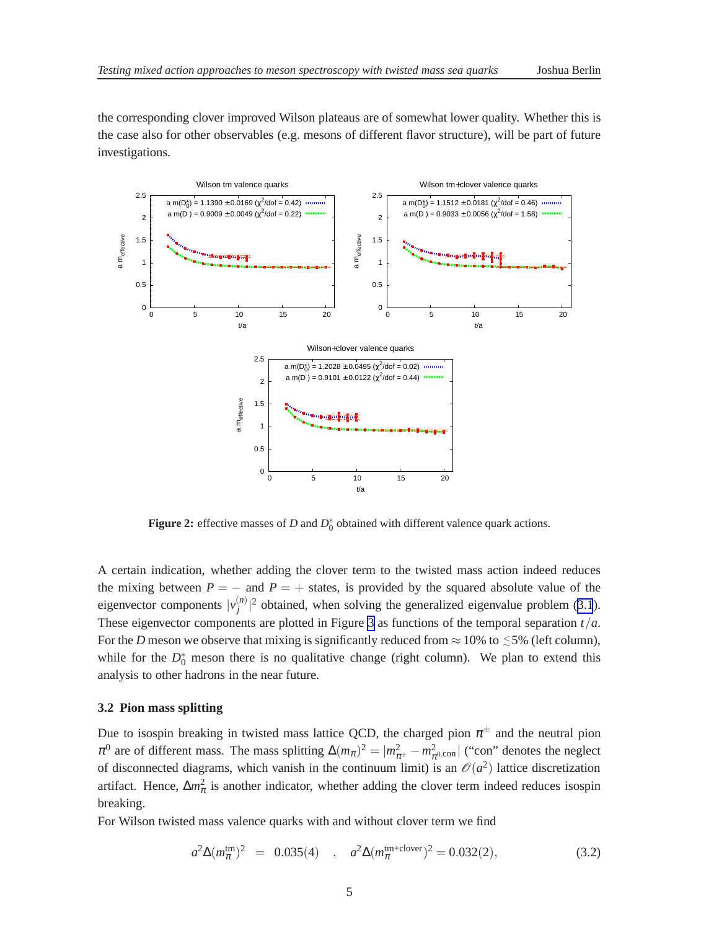<span id="page-4-0"></span>the corresponding clover improved Wilson plateaus are of somewhat lower quality. Whether this is the case also for other observables (e.g. mesons of different flavor structure), will be part of future investigations.



**Figure 2:** effective masses of *D* and  $D_0^*$  obtained with different valence quark actions.

A certain indication, whether adding the clover term to the twisted mass action indeed reduces the mixing between  $P = -$  and  $P = +$  states, is provided by the squared absolute value of the eigenvector components  $|v_i^{(n)}\rangle$  $\binom{n}{j}$ <sup>2</sup> obtained, when solving the generalized eigenvalue problem ([3.1](#page-3-0)). These eigenvector components are plotted in Figure [3](#page-5-0) as functions of the temporal separation *t*/*a*. For the *D* meson we observe that mixing is significantly reduced from  $\approx$  10% to  $\lesssim$  5% (left column), while for the  $D_0^*$  meson there is no qualitative change (right column). We plan to extend this analysis to other hadrons in the near future.

#### **3.2 Pion mass splitting**

Due to isospin breaking in twisted mass lattice QCD, the charged pion  $\pi^{\pm}$  and the neutral pion  $\pi^0$  are of different mass. The mass splitting  $\Delta(m_\pi)^2 = |m_{\pi^{\pm}}^2 - m_{\pi^0,\text{con}}^2|$  ("con" denotes the neglect of disconnected diagrams, which vanish in the continuum limit) is an  $\mathcal{O}(a^2)$  lattice discretization artifact. Hence,  $\Delta m_{\pi}^2$  is another indicator, whether adding the clover term indeed reduces isospin breaking.

For Wilson twisted mass valence quarks with and without clover term we find

$$
a^2 \Delta(m_{\pi}^{\text{tm}})^2 = 0.035(4) , a^2 \Delta(m_{\pi}^{\text{tm+clover}})^2 = 0.032(2),
$$
 (3.2)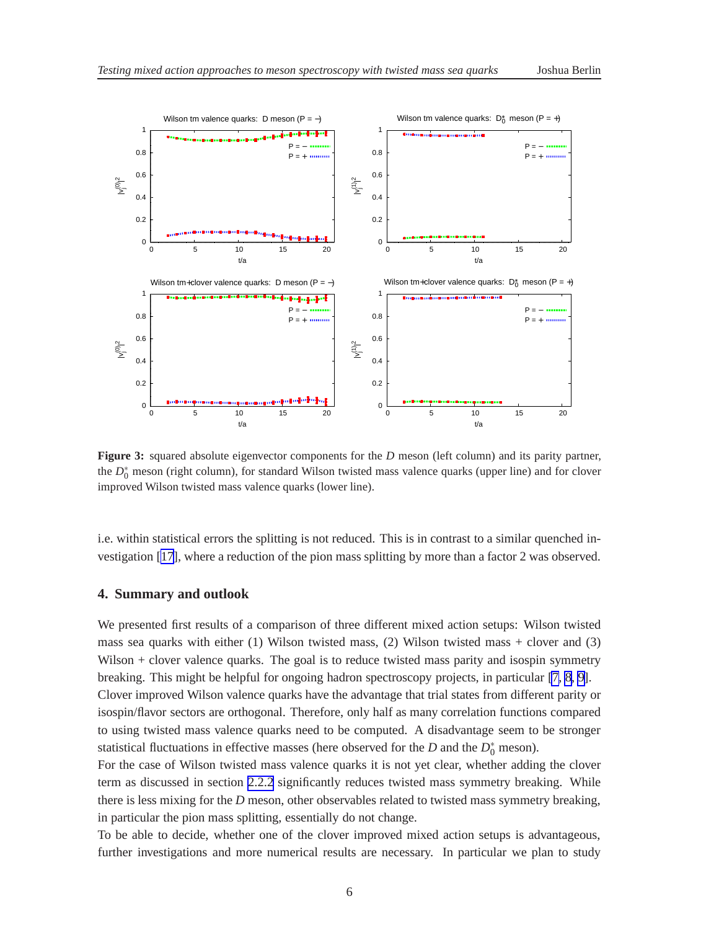<span id="page-5-0"></span>

**Figure 3:** squared absolute eigenvector components for the *D* meson (left column) and its parity partner, the  $D_0^*$  meson (right column), for standard Wilson twisted mass valence quarks (upper line) and for clover improved Wilson twisted mass valence quarks (lower line).

i.e. within statistical errors the splitting is not reduced. This is in contrast to a similar quenched investigation [\[17\]](#page-6-0), where a reduction of the pion mass splitting by more than a factor 2 was observed.

#### **4. Summary and outlook**

We presented first results of a comparison of three different mixed action setups: Wilson twisted mass sea quarks with either (1) Wilson twisted mass, (2) Wilson twisted mass + clover and (3) Wilson + clover valence quarks. The goal is to reduce twisted mass parity and isospin symmetry breaking. This might be helpful for ongoing hadron spectroscopy projects, in particular [\[7, 8, 9\]](#page-6-0). Clover improved Wilson valence quarks have the advantage that trial states from different parity or

isospin/flavor sectors are orthogonal. Therefore, only half as many correlation functions compared to using twisted mass valence quarks need to be computed. A disadvantage seem to be stronger statistical fluctuations in effective masses (here observed for the  $D$  and the  $D_0^*$  meson).

For the case of Wilson twisted mass valence quarks it is not yet clear, whether adding the clover term as discussed in section [2.2.2](#page-2-0) significantly reduces twisted mass symmetry breaking. While there is less mixing for the *D* meson, other observables related to twisted mass symmetry breaking, in particular the pion mass splitting, essentially do not change.

To be able to decide, whether one of the clover improved mixed action setups is advantageous, further investigations and more numerical results are necessary. In particular we plan to study